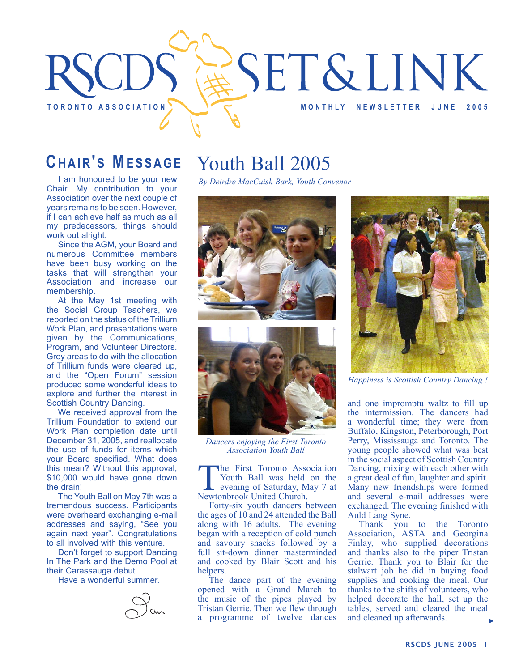

### **CHAIR'S MESSAGE**

I am honoured to be your new Chair. My contribution to your Association over the next couple of years remains to be seen. However, if I can achieve half as much as all my predecessors, things should work out alright.

Since the AGM, your Board and numerous Committee members have been busy working on the tasks that will strengthen your Association and increase our membership.

At the May 1st meeting with the Social Group Teachers, we reported on the status of the Trillium Work Plan, and presentations were given by the Communications, Program, and Volunteer Directors. Grey areas to do with the allocation of Trillium funds were cleared up, and the "Open Forum" session produced some wonderful ideas to explore and further the interest in Scottish Country Dancing.

We received approval from the Trillium Foundation to extend our Work Plan completion date until December 31, 2005, and reallocate the use of funds for items which your Board specified. What does this mean? Without this approval, \$10,000 would have gone down the drain!

The Youth Ball on May 7th was a tremendous success. Participants were overheard exchanging e-mail addresses and saying, "See you again next year". Congratulations to all involved with this venture.

Don't forget to support Dancing In The Park and the Demo Pool at their Carassauga debut.

Have a wonderful summer.



# Youth Ball 2005

*By Deirdre MacCuish Bark, Youth Convenor*





*Dancers enjoying the First Toronto Association Youth Ball*

The First Toronto Association<br>
Youth Ball was held on the<br>
evening of Saturday, May 7 at<br>
Newtonbrook United Church Youth Ball was held on the Newtonbrook United Church.

Forty-six youth dancers between the ages of 10 and 24 attended the Ball along with 16 adults. The evening began with a reception of cold punch and savoury snacks followed by a full sit-down dinner masterminded and cooked by Blair Scott and his helpers.

The dance part of the evening opened with a Grand March to the music of the pipes played by Tristan Gerrie. Then we flew through a programme of twelve dances



*Happiness is Scottish Country Dancing !*

and one impromptu waltz to fill up the intermission. The dancers had a wonderful time; they were from Buffalo, Kingston, Peterborough, Port Perry, Mississauga and Toronto. The young people showed what was best in the social aspect of Scottish Country Dancing, mixing with each other with a great deal of fun, laughter and spirit. Many new friendships were formed and several e-mail addresses were exchanged. The evening finished with Auld Lang Syne.

Thank you to the Toronto Association, ASTA and Georgina Finlay, who supplied decorations and thanks also to the piper Tristan Gerrie. Thank you to Blair for the stalwart job he did in buying food supplies and cooking the meal. Our thanks to the shifts of volunteers, who helped decorate the hall, set up the tables, served and cleared the meal and cleaned up afterwards.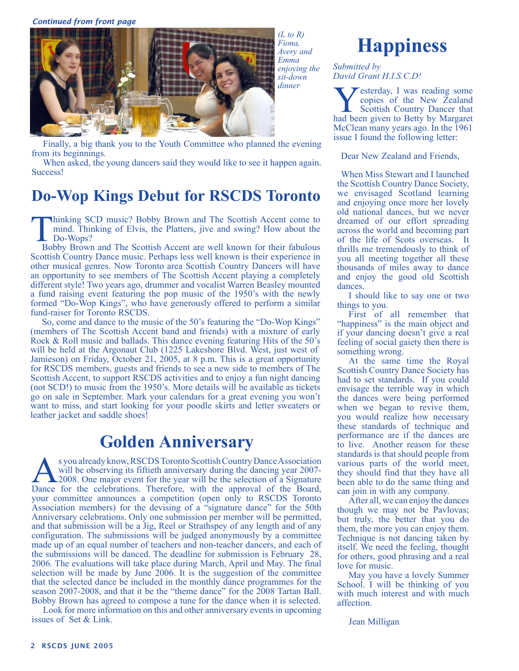*Continued from front page*



Finally, a big thank you to the Youth Committee who planned the evening from its beginnings.

When asked, the young dancers said they would like to see it happen again. Success!

### **Do-Wop Kings Debut for RSCDS Toronto**

Thinking SCD music? Bobby Brown and The Scottish Accent come to mind. Thinking of Elvis, the Platters, jive and swing? How about the Do-Wops?

Bobby Brown and The Scottish Accent are well known for their fabulous Scottish Country Dance music. Perhaps less well known is their experience in other musical genres. Now Toronto area Scottish Country Dancers will have an opportunity to see members of The Scottish Accent playing a completely different style! Two years ago, drummer and vocalist Warren Beasley mounted a fund raising event featuring the pop music of the 1950's with the newly formed "Do-Wop Kings", who have generously offered to perform a similar fund-raiser for Toronto RSCDS.

So, come and dance to the music of the 50's featuring the "Do-Wop Kings" (members of The Scottish Accent band and friends) with a mixture of early Rock & Roll music and ballads. This dance evening featuring Hits of the 50's will be held at the Argonaut Club (1225 Lakeshore Blvd. West, just west of Jamieson) on Friday, October 21, 2005, at 8 p.m. This is a great opportunity for RSCDS members, guests and friends to see a new side to members of The Scottish Accent, to support RSCDS activities and to enjoy a fun night dancing (not SCD!) to music from the 1950's. More details will be available as tickets go on sale in September. Mark your calendars for a great evening you won't want to miss, and start looking for your poodle skirts and letter sweaters or leather jacket and saddle shoes!

### **Golden Anniversary**

s you already know, RSCDS Toronto Scottish Country Dance Association<br>will be observing its fiftieth anniversary during the dancing year 2007-<br>2008. One major event for the year will be the selection of a Signature<br>Dance fo will be observing its fiftieth anniversary during the dancing year 2007- 2008. One major event for the year will be the selection of a Signature Dance for the celebrations. Therefore, with the approval of the Board, your committee announces a competition (open only to RSCDS Toronto Association members) for the devising of a "signature dance" for the 50th Anniversary celebrations. Only one submission per member will be permitted, and that submission will be a Jig, Reel or Strathspey of any length and of any configuration. The submissions will be judged anonymously by a committee made up of an equal number of teachers and non-teacher dancers, and each of the submissions will be danced. The deadline for submission is February 28, 2006. The evaluations will take place during March, April and May. The final selection will be made by June 2006. It is the suggestion of the committee that the selected dance be included in the monthly dance programmes for the season 2007-2008, and that it be the "theme dance" for the 2008 Tartan Ball. Bobby Brown has agreed to compose a tune for the dance when it is selected.

Look for more information on this and other anniversary events in upcoming issues of Set & Link.

# **Happiness**

*Submitted by David Grant H.I.S.C.D!*

**Westerday, I was reading some copies of the New Zealand Scottish Country Dancer that had been given to Betty by Margaret** copies of the New Zealand Scottish Country Dancer that had been given to Betty by Margaret McClean many years ago. In the 1961 issue I found the following letter:

Dear New Zealand and Friends,

When Miss Stewart and I launched the Scottish Country Dance Society, we envisaged Scotland learning and enjoying once more her lovely old national dances, but we never dreamed of our effort spreading across the world and becoming part of the life of Scots overseas. It thrills me tremendously to think of you all meeting together all these thousands of miles away to dance and enjoy the good old Scottish dances.

I should like to say one or two things to you.

First of all remember that "happiness" is the main object and if your dancing doesn't give a real feeling of social gaiety then there is something wrong.

At the same time the Royal Scottish Country Dance Society has had to set standards. If you could envisage the terrible way in which the dances were being performed when we began to revive them, you would realize how necessary these standards of technique and performance are if the dances are to live. Another reason for these standards is that should people from various parts of the world meet, they should find that they have all been able to do the same thing and can join in with any company.

After all, we can enjoy the dances though we may not be Pavlovas; but truly, the better that you do them, the more you can enjoy them. Technique is not dancing taken by itself. We need the feeling, thought for others, good phrasing and a real love for music.

May you have a lovely Summer School. I will be thinking of you with much interest and with much affection.

Jean Milligan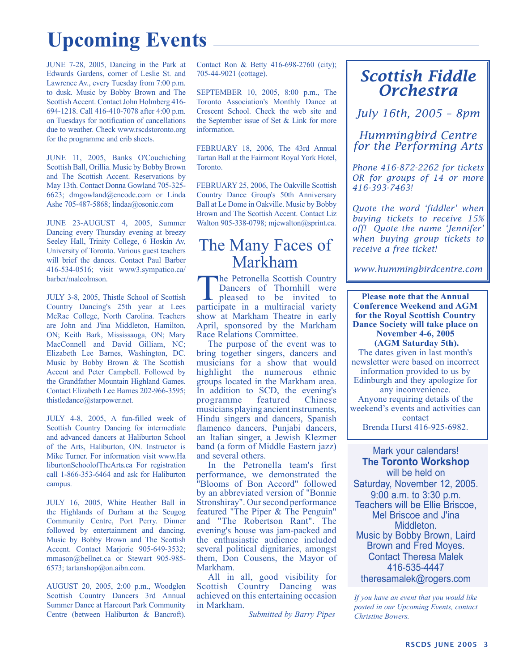# **Upcoming Events**

JUNE 7-28, 2005, Dancing in the Park at Edwards Gardens, corner of Leslie St. and Lawrence Av., every Tuesday from 7:00 p.m. to dusk. Music by Bobby Brown and The Scottish Accent. Contact John Holmberg 416- 694-1218. Call 416-410-7078 after 4:00 p.m. on Tuesdays for notification of cancellations due to weather. Check www.rscdstoronto.org for the programme and crib sheets.

JUNE 11, 2005, Banks O'Couchiching Scottish Ball, Orillia. Music by Bobby Brown and The Scottish Accent. Reservations by May 13th. Contact Donna Gowland 705-325- 6623; dmgowland@encode.com or Linda Ashe 705-487-5868; lindaa@osonic.com

JUNE 23-AUGUST 4, 2005, Summer Dancing every Thursday evening at breezy Seeley Hall, Trinity College, 6 Hoskin Av, University of Toronto. Various guest teachers will brief the dances. Contact Paul Barber 416-534-0516; visit www3.sympatico.ca/ barber/malcolmson.

JULY 3-8, 2005, Thistle School of Scottish Country Dancing's 25th year at Lees McRae College, North Carolina. Teachers are John and J'ina Middleton, Hamilton, ON; Keith Bark, Mississauga, ON; Mary MacConnell and David Gilliam, NC; Elizabeth Lee Barnes, Washington, DC. Music by Bobby Brown & The Scottish Accent and Peter Campbell. Followed by the Grandfather Mountain Highland Games. Contact Elizabeth Lee Barnes 202-966-3595; thistledance@starpower.net.

JULY 4-8, 2005, A fun-filled week of Scottish Country Dancing for intermediate and advanced dancers at Haliburton School of the Arts, Haliburton, ON. Instructor is Mike Turner. For information visit www.Ha liburtonSchoolofTheArts.ca For registration call 1-866-353-6464 and ask for Haliburton campus.

JULY 16, 2005, White Heather Ball in the Highlands of Durham at the Scugog Community Centre, Port Perry. Dinner followed by entertainment and dancing. Music by Bobby Brown and The Scottish Accent. Contact Marjorie 905-649-3532; mmason@bellnet.ca or Stewart 905-985- 6573; tartanshop@on.aibn.com.

AUGUST 20, 2005, 2:00 p.m., Woodglen Scottish Country Dancers 3rd Annual Summer Dance at Harcourt Park Community Centre (between Haliburton & Bancroft).

Contact Ron & Betty 416-698-2760 (city); 705-44-9021 (cottage).

SEPTEMBER 10, 2005, 8:00 p.m., The Toronto Association's Monthly Dance at Crescent School. Check the web site and the September issue of Set & Link for more information.

FEBRUARY 18, 2006, The 43rd Annual Tartan Ball at the Fairmont Royal York Hotel, Toronto.

FEBRUARY 25, 2006, The Oakville Scottish Country Dance Group's 50th Anniversary Ball at Le Dome in Oakville. Music by Bobby Brown and The Scottish Accent. Contact Liz Walton 905-338-0798; mjewalton@sprint.ca.

### The Many Faces of Markham

The Petronella Scottish Country<br>
Dancers of Thornhill were<br>
pleased to be invited to<br>
participate in a multiracial variety Dancers of Thornhill were participate in a multiracial variety show at Markham Theatre in early April, sponsored by the Markham Race Relations Committee.

The purpose of the event was to bring together singers, dancers and musicians for a show that would highlight the numerous ethnic groups located in the Markham area. In addition to SCD, the evening's programme featured Chinese musicians playing ancient instruments, Hindu singers and dancers, Spanish flamenco dancers, Punjabi dancers, an Italian singer, a Jewish Klezmer band (a form of Middle Eastern jazz) and several others.

In the Petronella team's first performance, we demonstrated the "Blooms of Bon Accord" followed by an abbreviated version of "Bonnie Stronshiray". Our second performance featured "The Piper & The Penguin" and "The Robertson Rant". The evening's house was jam-packed and the enthusiastic audience included several political dignitaries, amongst them, Don Cousens, the Mayor of Markham.

All in all, good visibility for Scottish Country Dancing was achieved on this entertaining occasion in Markham.

*Submitted by Barry Pipes*

### *Scottish Fiddle Orchestra*

*July 16th, 2005 – 8pm*

*Hummingbird Centre for the Performing Arts*

*Phone 416-872-2262 for tickets OR for groups of 14 or more 416-393-7463!* 

*Quote the word 'fiddler' when buying tickets to receive 15% off! Quote the name 'Jennifer' when buying group tickets to receive a free ticket!*

*www.hummingbirdcentre.com*

**Please note that the Annual Conference Weekend and AGM for the Royal Scottish Country Dance Society will take place on November 4-6, 2005 (AGM Saturday 5th).** The dates given in last month's newsletter were based on incorrect information provided to us by Edinburgh and they apologize for any inconvenience. Anyone requiring details of the weekend's events and activities can contact Brenda Hurst 416-925-6982.

### Mark your calendars! **The Toronto Workshop**

will be held on Saturday, November 12, 2005. 9:00 a.m. to 3:30 p.m. Teachers will be Ellie Briscoe, Mel Briscoe and J'ina Middleton. Music by Bobby Brown, Laird Brown and Fred Moyes. Contact Theresa Malek 416-535-4447 theresamalek@rogers.com

*If you have an event that you would like posted in our Upcoming Events, contact Christine Bowers.*